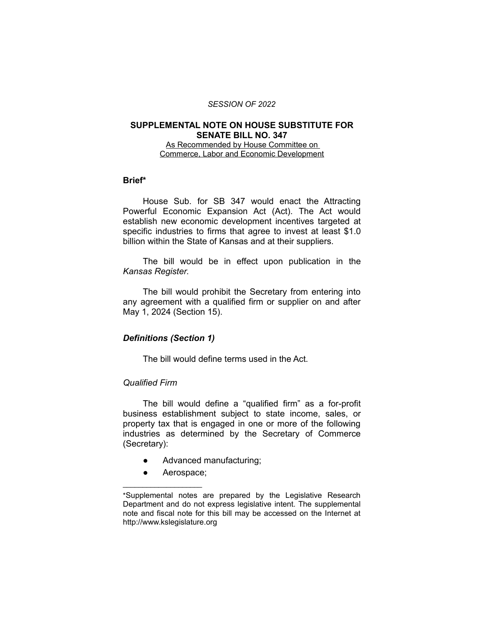#### *SESSION OF 2022*

#### **SUPPLEMENTAL NOTE ON HOUSE SUBSTITUTE FOR SENATE BILL NO. 347**

As Recommended by House Committee on Commerce, Labor and Economic Development

### **Brief\***

House Sub. for SB 347 would enact the Attracting Powerful Economic Expansion Act (Act). The Act would establish new economic development incentives targeted at specific industries to firms that agree to invest at least \$1.0 billion within the State of Kansas and at their suppliers.

The bill would be in effect upon publication in the *Kansas Register*.

The bill would prohibit the Secretary from entering into any agreement with a qualified firm or supplier on and after May 1, 2024 (Section 15).

## *Definitions (Section 1)*

The bill would define terms used in the Act.

### *Qualified Firm*

The bill would define a "qualified firm" as a for-profit business establishment subject to state income, sales, or property tax that is engaged in one or more of the following industries as determined by the Secretary of Commerce (Secretary):

- Advanced manufacturing;
- Aerospace;

 $\overline{\phantom{a}}$  , where  $\overline{\phantom{a}}$  , where  $\overline{\phantom{a}}$ 

<sup>\*</sup>Supplemental notes are prepared by the Legislative Research Department and do not express legislative intent. The supplemental note and fiscal note for this bill may be accessed on the Internet at http://www.kslegislature.org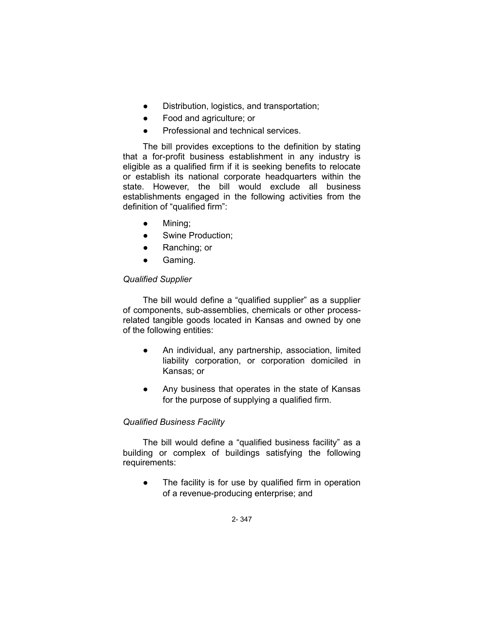- Distribution, logistics, and transportation;
- Food and agriculture; or
- Professional and technical services.

The bill provides exceptions to the definition by stating that a for-profit business establishment in any industry is eligible as a qualified firm if it is seeking benefits to relocate or establish its national corporate headquarters within the state. However, the bill would exclude all business establishments engaged in the following activities from the definition of "qualified firm":

- Mining;
- Swine Production;
- Ranching; or
- Gaming.

# *Qualified Supplier*

The bill would define a "qualified supplier" as a supplier of components, sub-assemblies, chemicals or other processrelated tangible goods located in Kansas and owned by one of the following entities:

- An individual, any partnership, association, limited liability corporation, or corporation domiciled in Kansas; or
- Any business that operates in the state of Kansas for the purpose of supplying a qualified firm.

# *Qualified Business Facility*

The bill would define a "qualified business facility" as a building or complex of buildings satisfying the following requirements:

● The facility is for use by qualified firm in operation of a revenue-producing enterprise; and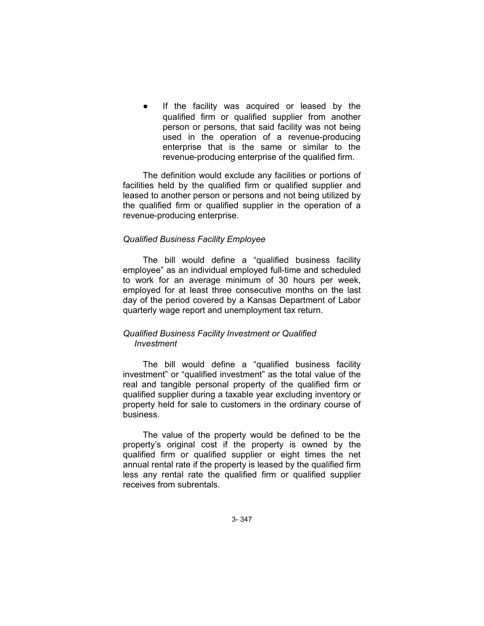If the facility was acquired or leased by the qualified firm or qualified supplier from another person or persons, that said facility was not being used in the operation of a revenue-producing enterprise that is the same or similar to the revenue-producing enterprise of the qualified firm.

The definition would exclude any facilities or portions of facilities held by the qualified firm or qualified supplier and leased to another person or persons and not being utilized by the qualified firm or qualified supplier in the operation of a revenue-producing enterprise.

## *Qualified Business Facility Employee*

The bill would define a "qualified business facility employee" as an individual employed full-time and scheduled to work for an average minimum of 30 hours per week, employed for at least three consecutive months on the last day of the period covered by a Kansas Department of Labor quarterly wage report and unemployment tax return.

## *Qualified Business Facility Investment or Qualified Investment*

The bill would define a "qualified business facility investment" or "qualified investment" as the total value of the real and tangible personal property of the qualified firm or qualified supplier during a taxable year excluding inventory or property held for sale to customers in the ordinary course of business.

The value of the property would be defined to be the property's original cost if the property is owned by the qualified firm or qualified supplier or eight times the net annual rental rate if the property is leased by the qualified firm less any rental rate the qualified firm or qualified supplier receives from subrentals.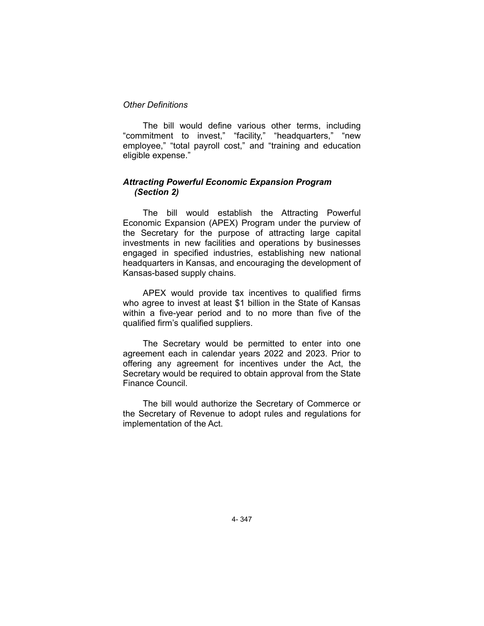## *Other Definitions*

The bill would define various other terms, including "commitment to invest," "facility," "headquarters," "new employee," "total payroll cost," and "training and education eligible expense."

## *Attracting Powerful Economic Expansion Program (Section 2)*

The bill would establish the Attracting Powerful Economic Expansion (APEX) Program under the purview of the Secretary for the purpose of attracting large capital investments in new facilities and operations by businesses engaged in specified industries, establishing new national headquarters in Kansas, and encouraging the development of Kansas-based supply chains.

APEX would provide tax incentives to qualified firms who agree to invest at least \$1 billion in the State of Kansas within a five-year period and to no more than five of the qualified firm's qualified suppliers.

The Secretary would be permitted to enter into one agreement each in calendar years 2022 and 2023. Prior to offering any agreement for incentives under the Act, the Secretary would be required to obtain approval from the State Finance Council.

The bill would authorize the Secretary of Commerce or the Secretary of Revenue to adopt rules and regulations for implementation of the Act.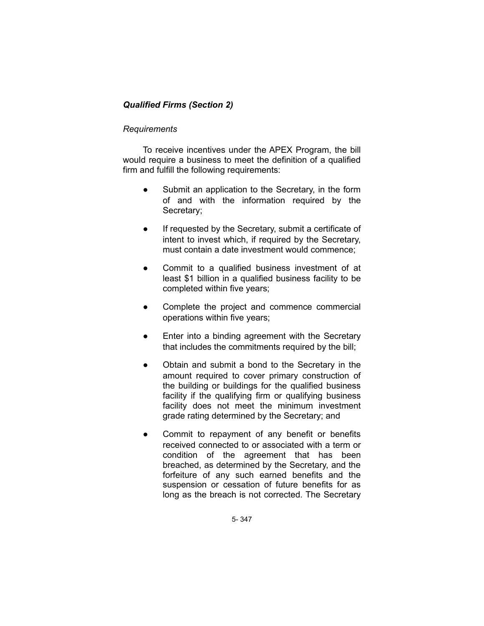# *Qualified Firms (Section 2)*

## *Requirements*

To receive incentives under the APEX Program, the bill would require a business to meet the definition of a qualified firm and fulfill the following requirements:

- Submit an application to the Secretary, in the form of and with the information required by the Secretary;
- If requested by the Secretary, submit a certificate of intent to invest which, if required by the Secretary, must contain a date investment would commence;
- Commit to a qualified business investment of at least \$1 billion in a qualified business facility to be completed within five years;
- Complete the project and commence commercial operations within five years;
- Enter into a binding agreement with the Secretary that includes the commitments required by the bill;
- Obtain and submit a bond to the Secretary in the amount required to cover primary construction of the building or buildings for the qualified business facility if the qualifying firm or qualifying business facility does not meet the minimum investment grade rating determined by the Secretary; and
- Commit to repayment of any benefit or benefits received connected to or associated with a term or condition of the agreement that has been breached, as determined by the Secretary, and the forfeiture of any such earned benefits and the suspension or cessation of future benefits for as long as the breach is not corrected. The Secretary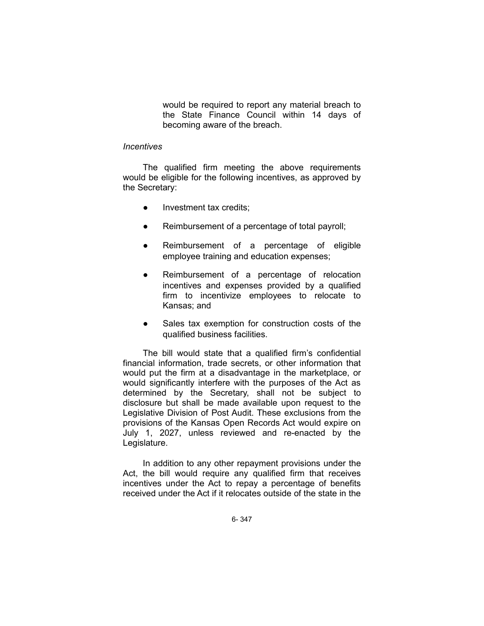would be required to report any material breach to the State Finance Council within 14 days of becoming aware of the breach.

#### *Incentives*

The qualified firm meeting the above requirements would be eligible for the following incentives, as approved by the Secretary:

- Investment tax credits;
- Reimbursement of a percentage of total payroll;
- Reimbursement of a percentage of eligible employee training and education expenses;
- Reimbursement of a percentage of relocation incentives and expenses provided by a qualified firm to incentivize employees to relocate to Kansas; and
- Sales tax exemption for construction costs of the qualified business facilities.

The bill would state that a qualified firm's confidential financial information, trade secrets, or other information that would put the firm at a disadvantage in the marketplace, or would significantly interfere with the purposes of the Act as determined by the Secretary, shall not be subject to disclosure but shall be made available upon request to the Legislative Division of Post Audit. These exclusions from the provisions of the Kansas Open Records Act would expire on July 1, 2027, unless reviewed and re-enacted by the Legislature.

In addition to any other repayment provisions under the Act, the bill would require any qualified firm that receives incentives under the Act to repay a percentage of benefits received under the Act if it relocates outside of the state in the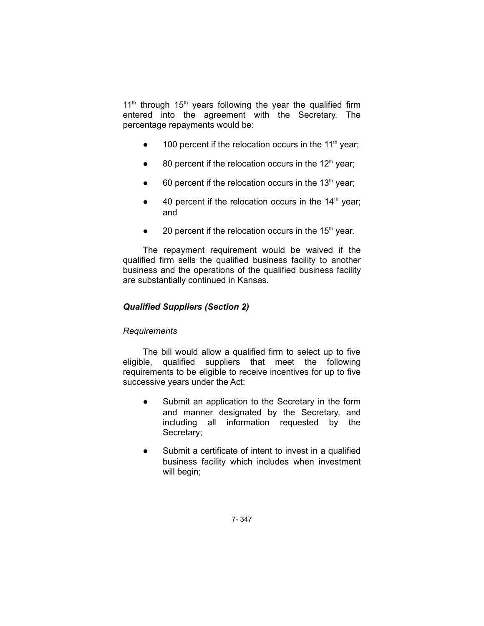$11<sup>th</sup>$  through  $15<sup>th</sup>$  years following the year the qualified firm entered into the agreement with the Secretary. The percentage repayments would be:

- $\bullet$  100 percent if the relocation occurs in the 11<sup>th</sup> year;
- $\bullet$  80 percent if the relocation occurs in the 12<sup>th</sup> year;
- $\bullet$  60 percent if the relocation occurs in the 13<sup>th</sup> year;
- $\bullet$  40 percent if the relocation occurs in the 14<sup>th</sup> year; and
- 20 percent if the relocation occurs in the  $15<sup>th</sup>$  year.

The repayment requirement would be waived if the qualified firm sells the qualified business facility to another business and the operations of the qualified business facility are substantially continued in Kansas.

## *Qualified Suppliers (Section 2)*

## *Requirements*

The bill would allow a qualified firm to select up to five eligible, qualified suppliers that meet the following requirements to be eligible to receive incentives for up to five successive years under the Act:

- Submit an application to the Secretary in the form and manner designated by the Secretary, and including all information requested by the Secretary;
- Submit a certificate of intent to invest in a qualified business facility which includes when investment will begin;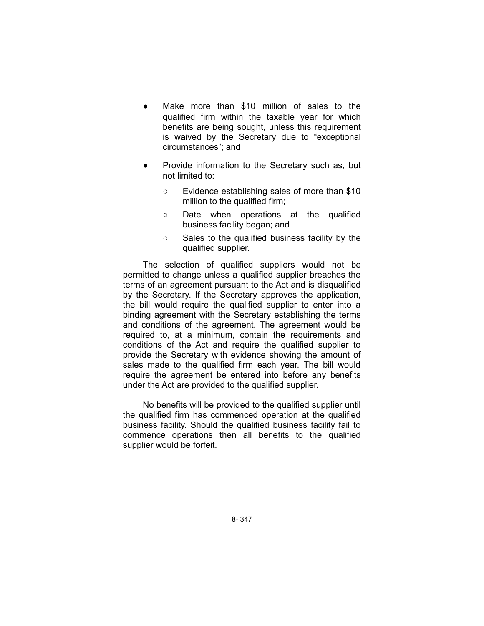- Make more than \$10 million of sales to the qualified firm within the taxable year for which benefits are being sought, unless this requirement is waived by the Secretary due to "exceptional circumstances"; and
- Provide information to the Secretary such as, but not limited to:
	- Evidence establishing sales of more than \$10 million to the qualified firm;
	- Date when operations at the qualified business facility began; and
	- Sales to the qualified business facility by the qualified supplier.

The selection of qualified suppliers would not be permitted to change unless a qualified supplier breaches the terms of an agreement pursuant to the Act and is disqualified by the Secretary. If the Secretary approves the application, the bill would require the qualified supplier to enter into a binding agreement with the Secretary establishing the terms and conditions of the agreement. The agreement would be required to, at a minimum, contain the requirements and conditions of the Act and require the qualified supplier to provide the Secretary with evidence showing the amount of sales made to the qualified firm each year. The bill would require the agreement be entered into before any benefits under the Act are provided to the qualified supplier.

No benefits will be provided to the qualified supplier until the qualified firm has commenced operation at the qualified business facility. Should the qualified business facility fail to commence operations then all benefits to the qualified supplier would be forfeit.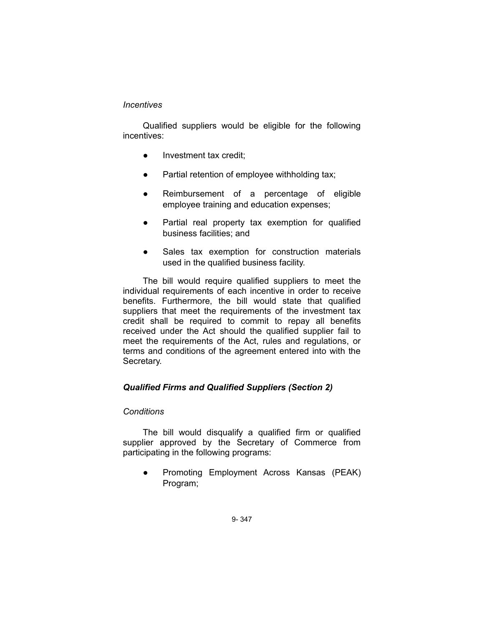## *Incentives*

Qualified suppliers would be eligible for the following incentives:

- Investment tax credit;
- Partial retention of employee withholding tax;
- Reimbursement of a percentage of eligible employee training and education expenses;
- Partial real property tax exemption for qualified business facilities; and
- Sales tax exemption for construction materials used in the qualified business facility.

The bill would require qualified suppliers to meet the individual requirements of each incentive in order to receive benefits. Furthermore, the bill would state that qualified suppliers that meet the requirements of the investment tax credit shall be required to commit to repay all benefits received under the Act should the qualified supplier fail to meet the requirements of the Act, rules and regulations, or terms and conditions of the agreement entered into with the Secretary.

# *Qualified Firms and Qualified Suppliers (Section 2)*

## *Conditions*

The bill would disqualify a qualified firm or qualified supplier approved by the Secretary of Commerce from participating in the following programs:

● Promoting Employment Across Kansas (PEAK) Program;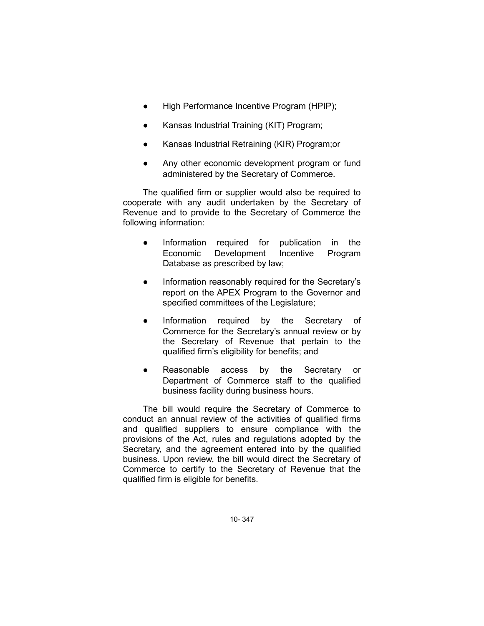- High Performance Incentive Program (HPIP);
- Kansas Industrial Training (KIT) Program;
- Kansas Industrial Retraining (KIR) Program;or
- Any other economic development program or fund administered by the Secretary of Commerce.

The qualified firm or supplier would also be required to cooperate with any audit undertaken by the Secretary of Revenue and to provide to the Secretary of Commerce the following information:

- Information required for publication in the Economic Development Incentive Program Database as prescribed by law;
- Information reasonably required for the Secretary's report on the APEX Program to the Governor and specified committees of the Legislature;
- Information required by the Secretary of Commerce for the Secretary's annual review or by the Secretary of Revenue that pertain to the qualified firm's eligibility for benefits; and
- Reasonable access by the Secretary or Department of Commerce staff to the qualified business facility during business hours.

The bill would require the Secretary of Commerce to conduct an annual review of the activities of qualified firms and qualified suppliers to ensure compliance with the provisions of the Act, rules and regulations adopted by the Secretary, and the agreement entered into by the qualified business. Upon review, the bill would direct the Secretary of Commerce to certify to the Secretary of Revenue that the qualified firm is eligible for benefits.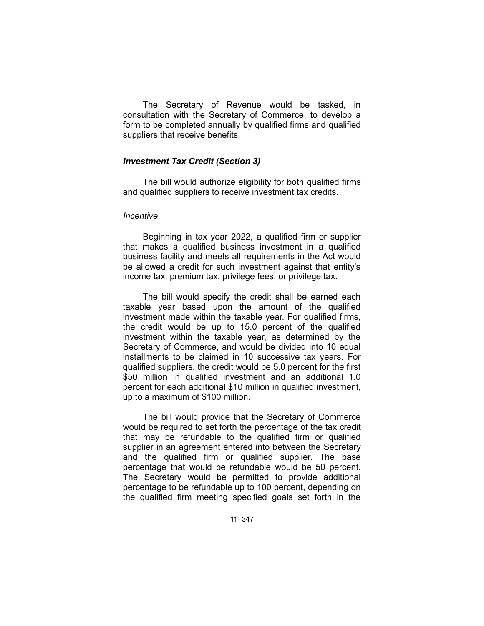The Secretary of Revenue would be tasked, in consultation with the Secretary of Commerce, to develop a form to be completed annually by qualified firms and qualified suppliers that receive benefits.

## *Investment Tax Credit (Section 3)*

The bill would authorize eligibility for both qualified firms and qualified suppliers to receive investment tax credits.

#### *Incentive*

Beginning in tax year 2022, a qualified firm or supplier that makes a qualified business investment in a qualified business facility and meets all requirements in the Act would be allowed a credit for such investment against that entity's income tax, premium tax, privilege fees, or privilege tax.

The bill would specify the credit shall be earned each taxable year based upon the amount of the qualified investment made within the taxable year. For qualified firms, the credit would be up to 15.0 percent of the qualified investment within the taxable year, as determined by the Secretary of Commerce, and would be divided into 10 equal installments to be claimed in 10 successive tax years. For qualified suppliers, the credit would be 5.0 percent for the first \$50 million in qualified investment and an additional 1.0 percent for each additional \$10 million in qualified investment, up to a maximum of \$100 million.

The bill would provide that the Secretary of Commerce would be required to set forth the percentage of the tax credit that may be refundable to the qualified firm or qualified supplier in an agreement entered into between the Secretary and the qualified firm or qualified supplier. The base percentage that would be refundable would be 50 percent. The Secretary would be permitted to provide additional percentage to be refundable up to 100 percent, depending on the qualified firm meeting specified goals set forth in the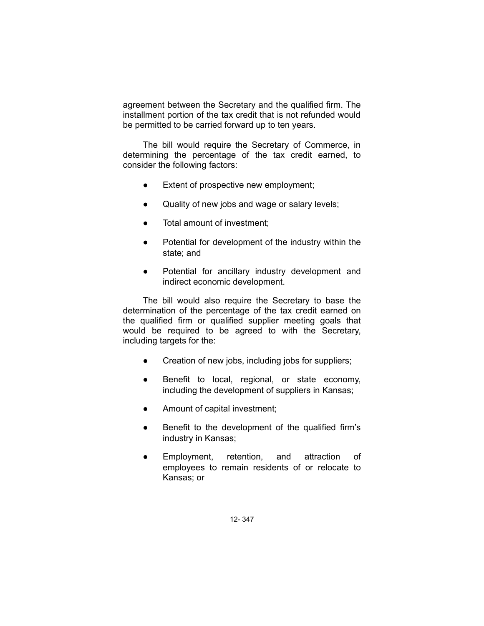agreement between the Secretary and the qualified firm. The installment portion of the tax credit that is not refunded would be permitted to be carried forward up to ten years.

The bill would require the Secretary of Commerce, in determining the percentage of the tax credit earned, to consider the following factors:

- Extent of prospective new employment;
- Quality of new jobs and wage or salary levels;
- Total amount of investment:
- Potential for development of the industry within the state; and
- Potential for ancillary industry development and indirect economic development.

The bill would also require the Secretary to base the determination of the percentage of the tax credit earned on the qualified firm or qualified supplier meeting goals that would be required to be agreed to with the Secretary, including targets for the:

- Creation of new jobs, including jobs for suppliers;
- Benefit to local, regional, or state economy, including the development of suppliers in Kansas;
- Amount of capital investment;
- Benefit to the development of the qualified firm's industry in Kansas;
- Employment, retention, and attraction of employees to remain residents of or relocate to Kansas; or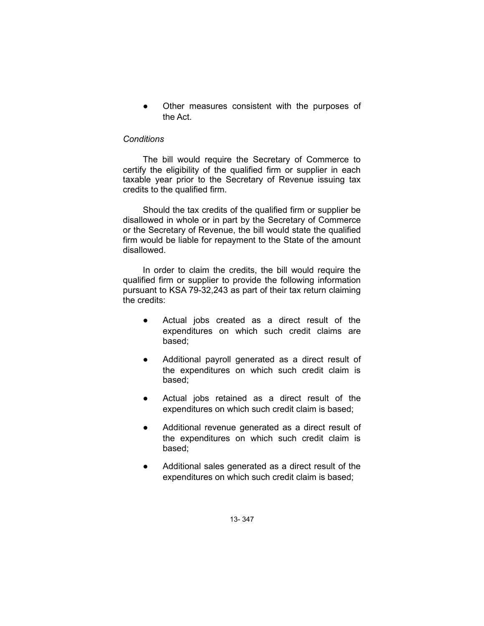Other measures consistent with the purposes of the Act.

### *Conditions*

The bill would require the Secretary of Commerce to certify the eligibility of the qualified firm or supplier in each taxable year prior to the Secretary of Revenue issuing tax credits to the qualified firm.

Should the tax credits of the qualified firm or supplier be disallowed in whole or in part by the Secretary of Commerce or the Secretary of Revenue, the bill would state the qualified firm would be liable for repayment to the State of the amount disallowed.

In order to claim the credits, the bill would require the qualified firm or supplier to provide the following information pursuant to KSA 79-32,243 as part of their tax return claiming the credits:

- Actual jobs created as a direct result of the expenditures on which such credit claims are based;
- Additional payroll generated as a direct result of the expenditures on which such credit claim is based;
- Actual jobs retained as a direct result of the expenditures on which such credit claim is based;
- Additional revenue generated as a direct result of the expenditures on which such credit claim is based;
- Additional sales generated as a direct result of the expenditures on which such credit claim is based;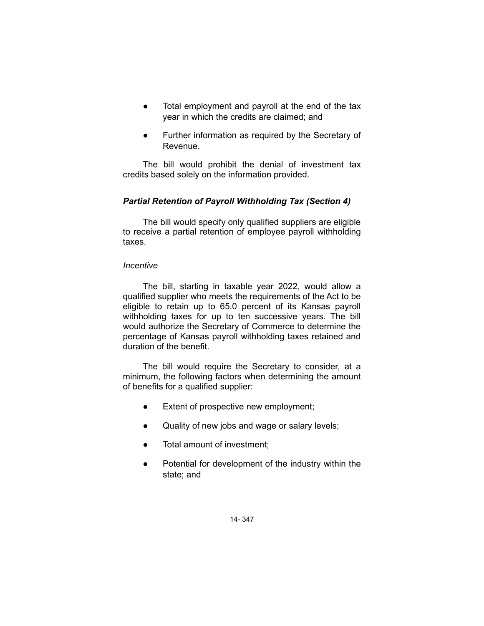- Total employment and payroll at the end of the tax year in which the credits are claimed; and
- Further information as required by the Secretary of Revenue.

The bill would prohibit the denial of investment tax credits based solely on the information provided.

## *Partial Retention of Payroll Withholding Tax (Section 4)*

The bill would specify only qualified suppliers are eligible to receive a partial retention of employee payroll withholding taxes.

## *Incentive*

The bill, starting in taxable year 2022, would allow a qualified supplier who meets the requirements of the Act to be eligible to retain up to 65.0 percent of its Kansas payroll withholding taxes for up to ten successive years. The bill would authorize the Secretary of Commerce to determine the percentage of Kansas payroll withholding taxes retained and duration of the benefit.

The bill would require the Secretary to consider, at a minimum, the following factors when determining the amount of benefits for a qualified supplier:

- Extent of prospective new employment;
- Quality of new jobs and wage or salary levels;
- Total amount of investment:
- Potential for development of the industry within the state; and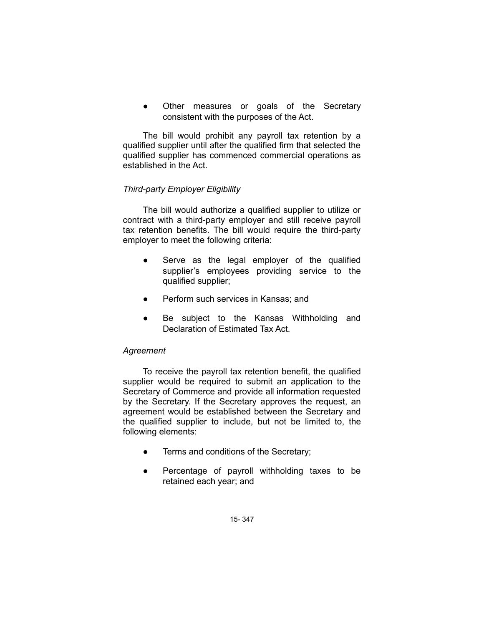Other measures or goals of the Secretary consistent with the purposes of the Act.

The bill would prohibit any payroll tax retention by a qualified supplier until after the qualified firm that selected the qualified supplier has commenced commercial operations as established in the Act.

## *Third-party Employer Eligibility*

The bill would authorize a qualified supplier to utilize or contract with a third-party employer and still receive payroll tax retention benefits. The bill would require the third-party employer to meet the following criteria:

- Serve as the legal employer of the qualified supplier's employees providing service to the qualified supplier;
- Perform such services in Kansas; and
- Be subject to the Kansas Withholding and Declaration of Estimated Tax Act.

## *Agreement*

To receive the payroll tax retention benefit, the qualified supplier would be required to submit an application to the Secretary of Commerce and provide all information requested by the Secretary. If the Secretary approves the request, an agreement would be established between the Secretary and the qualified supplier to include, but not be limited to, the following elements:

- Terms and conditions of the Secretary;
- Percentage of payroll withholding taxes to be retained each year; and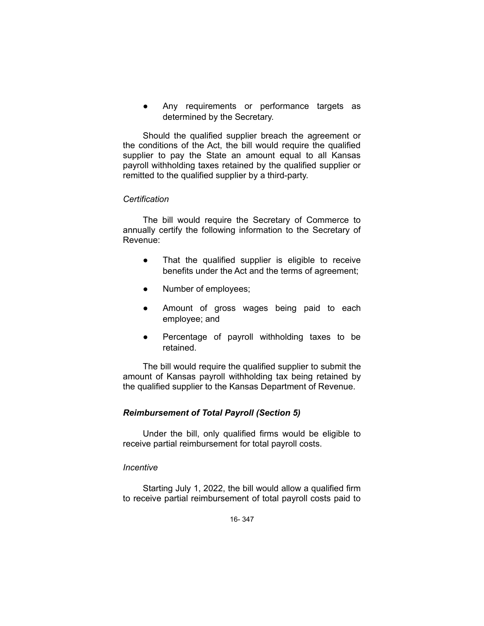Any requirements or performance targets as determined by the Secretary.

Should the qualified supplier breach the agreement or the conditions of the Act, the bill would require the qualified supplier to pay the State an amount equal to all Kansas payroll withholding taxes retained by the qualified supplier or remitted to the qualified supplier by a third-party.

### *Certification*

The bill would require the Secretary of Commerce to annually certify the following information to the Secretary of Revenue:

- That the qualified supplier is eligible to receive benefits under the Act and the terms of agreement;
- Number of employees;
- Amount of gross wages being paid to each employee; and
- Percentage of payroll withholding taxes to be retained.

The bill would require the qualified supplier to submit the amount of Kansas payroll withholding tax being retained by the qualified supplier to the Kansas Department of Revenue.

## *Reimbursement of Total Payroll (Section 5)*

Under the bill, only qualified firms would be eligible to receive partial reimbursement for total payroll costs.

#### *Incentive*

Starting July 1, 2022, the bill would allow a qualified firm to receive partial reimbursement of total payroll costs paid to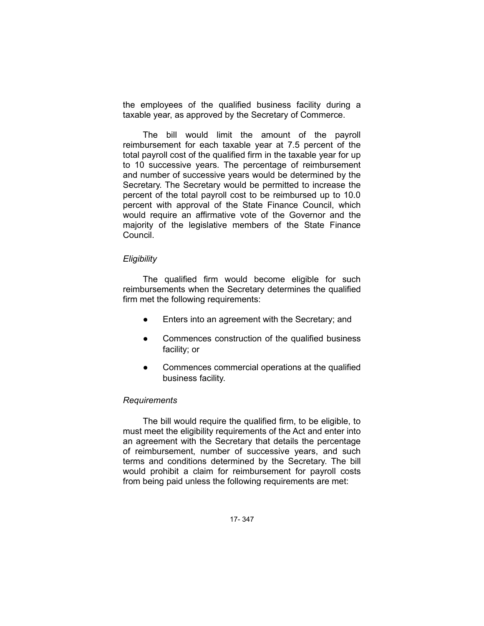the employees of the qualified business facility during a taxable year, as approved by the Secretary of Commerce.

The bill would limit the amount of the payroll reimbursement for each taxable year at 7.5 percent of the total payroll cost of the qualified firm in the taxable year for up to 10 successive years. The percentage of reimbursement and number of successive years would be determined by the Secretary. The Secretary would be permitted to increase the percent of the total payroll cost to be reimbursed up to 10.0 percent with approval of the State Finance Council, which would require an affirmative vote of the Governor and the majority of the legislative members of the State Finance Council.

#### *Eligibility*

The qualified firm would become eligible for such reimbursements when the Secretary determines the qualified firm met the following requirements:

- Enters into an agreement with the Secretary; and
- Commences construction of the qualified business facility; or
- Commences commercial operations at the qualified business facility.

#### *Requirements*

The bill would require the qualified firm, to be eligible, to must meet the eligibility requirements of the Act and enter into an agreement with the Secretary that details the percentage of reimbursement, number of successive years, and such terms and conditions determined by the Secretary. The bill would prohibit a claim for reimbursement for payroll costs from being paid unless the following requirements are met: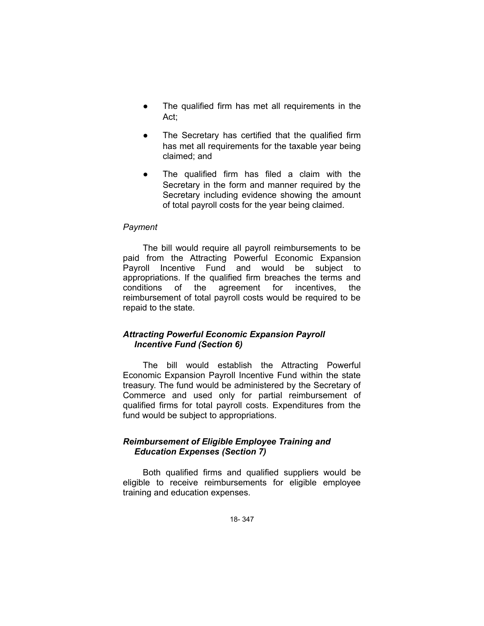- The qualified firm has met all requirements in the Act;
- The Secretary has certified that the qualified firm has met all requirements for the taxable year being claimed; and
- The qualified firm has filed a claim with the Secretary in the form and manner required by the Secretary including evidence showing the amount of total payroll costs for the year being claimed.

### *Payment*

The bill would require all payroll reimbursements to be paid from the Attracting Powerful Economic Expansion Payroll Incentive Fund and would be subject to appropriations. If the qualified firm breaches the terms and conditions of the agreement for incentives, the reimbursement of total payroll costs would be required to be repaid to the state.

## *Attracting Powerful Economic Expansion Payroll Incentive Fund (Section 6)*

The bill would establish the Attracting Powerful Economic Expansion Payroll Incentive Fund within the state treasury. The fund would be administered by the Secretary of Commerce and used only for partial reimbursement of qualified firms for total payroll costs. Expenditures from the fund would be subject to appropriations.

## *Reimbursement of Eligible Employee Training and Education Expenses (Section 7)*

Both qualified firms and qualified suppliers would be eligible to receive reimbursements for eligible employee training and education expenses.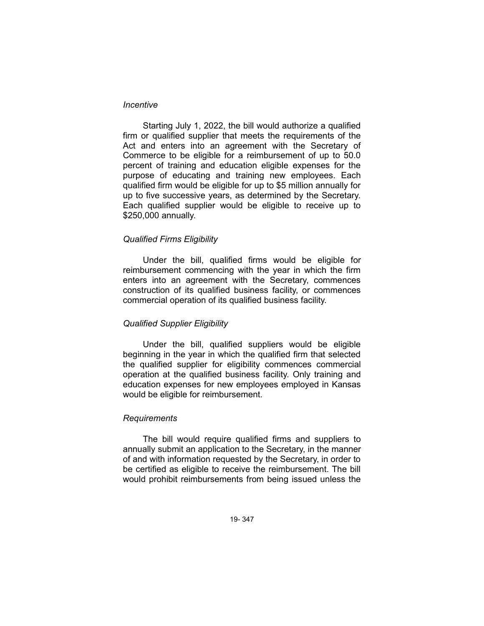## *Incentive*

Starting July 1, 2022, the bill would authorize a qualified firm or qualified supplier that meets the requirements of the Act and enters into an agreement with the Secretary of Commerce to be eligible for a reimbursement of up to 50.0 percent of training and education eligible expenses for the purpose of educating and training new employees. Each qualified firm would be eligible for up to \$5 million annually for up to five successive years, as determined by the Secretary. Each qualified supplier would be eligible to receive up to \$250,000 annually.

#### *Qualified Firms Eligibility*

Under the bill, qualified firms would be eligible for reimbursement commencing with the year in which the firm enters into an agreement with the Secretary, commences construction of its qualified business facility, or commences commercial operation of its qualified business facility.

## *Qualified Supplier Eligibility*

Under the bill, qualified suppliers would be eligible beginning in the year in which the qualified firm that selected the qualified supplier for eligibility commences commercial operation at the qualified business facility. Only training and education expenses for new employees employed in Kansas would be eligible for reimbursement.

#### *Requirements*

The bill would require qualified firms and suppliers to annually submit an application to the Secretary, in the manner of and with information requested by the Secretary, in order to be certified as eligible to receive the reimbursement. The bill would prohibit reimbursements from being issued unless the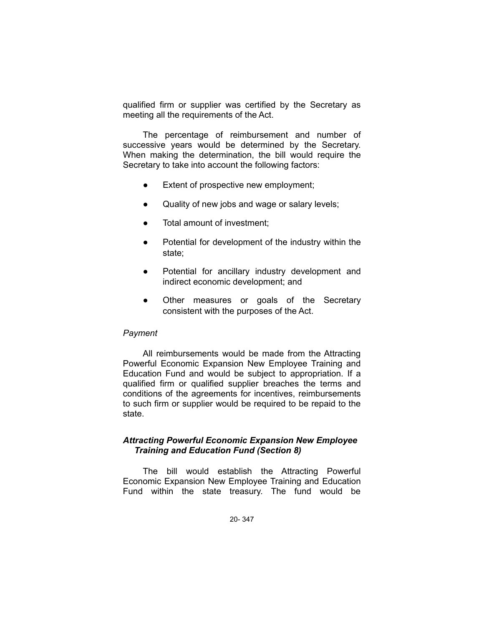qualified firm or supplier was certified by the Secretary as meeting all the requirements of the Act.

The percentage of reimbursement and number of successive years would be determined by the Secretary. When making the determination, the bill would require the Secretary to take into account the following factors:

- Extent of prospective new employment;
- Quality of new jobs and wage or salary levels;
- Total amount of investment:
- Potential for development of the industry within the state;
- Potential for ancillary industry development and indirect economic development; and
- Other measures or goals of the Secretary consistent with the purposes of the Act.

#### *Payment*

All reimbursements would be made from the Attracting Powerful Economic Expansion New Employee Training and Education Fund and would be subject to appropriation. If a qualified firm or qualified supplier breaches the terms and conditions of the agreements for incentives, reimbursements to such firm or supplier would be required to be repaid to the state.

## *Attracting Powerful Economic Expansion New Employee Training and Education Fund (Section 8)*

The bill would establish the Attracting Powerful Economic Expansion New Employee Training and Education Fund within the state treasury. The fund would be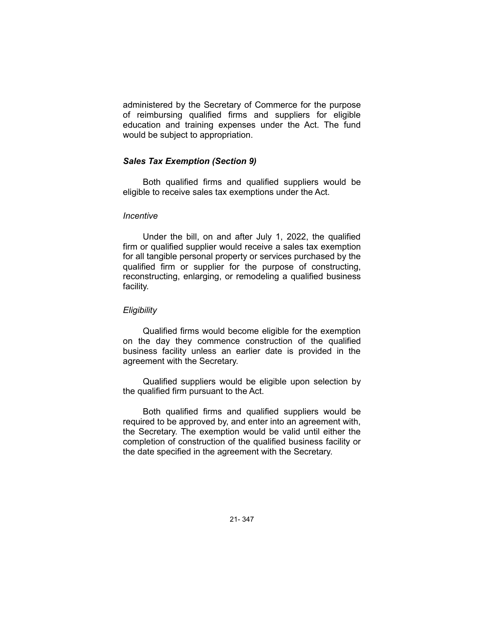administered by the Secretary of Commerce for the purpose of reimbursing qualified firms and suppliers for eligible education and training expenses under the Act. The fund would be subject to appropriation.

## *Sales Tax Exemption (Section 9)*

Both qualified firms and qualified suppliers would be eligible to receive sales tax exemptions under the Act.

### *Incentive*

Under the bill, on and after July 1, 2022, the qualified firm or qualified supplier would receive a sales tax exemption for all tangible personal property or services purchased by the qualified firm or supplier for the purpose of constructing, reconstructing, enlarging, or remodeling a qualified business facility.

## *Eligibility*

Qualified firms would become eligible for the exemption on the day they commence construction of the qualified business facility unless an earlier date is provided in the agreement with the Secretary.

Qualified suppliers would be eligible upon selection by the qualified firm pursuant to the Act.

Both qualified firms and qualified suppliers would be required to be approved by, and enter into an agreement with, the Secretary. The exemption would be valid until either the completion of construction of the qualified business facility or the date specified in the agreement with the Secretary.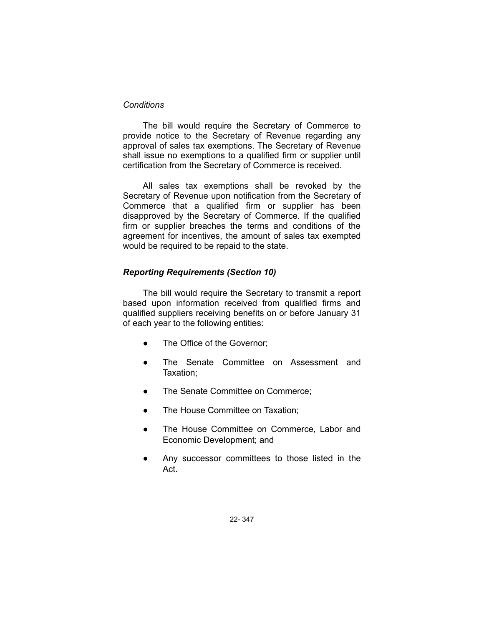### *Conditions*

The bill would require the Secretary of Commerce to provide notice to the Secretary of Revenue regarding any approval of sales tax exemptions. The Secretary of Revenue shall issue no exemptions to a qualified firm or supplier until certification from the Secretary of Commerce is received.

All sales tax exemptions shall be revoked by the Secretary of Revenue upon notification from the Secretary of Commerce that a qualified firm or supplier has been disapproved by the Secretary of Commerce. If the qualified firm or supplier breaches the terms and conditions of the agreement for incentives, the amount of sales tax exempted would be required to be repaid to the state.

## *Reporting Requirements (Section 10)*

The bill would require the Secretary to transmit a report based upon information received from qualified firms and qualified suppliers receiving benefits on or before January 31 of each year to the following entities:

- The Office of the Governor;
- The Senate Committee on Assessment and Taxation;
- The Senate Committee on Commerce;
- The House Committee on Taxation;
- The House Committee on Commerce, Labor and Economic Development; and
- Any successor committees to those listed in the Act.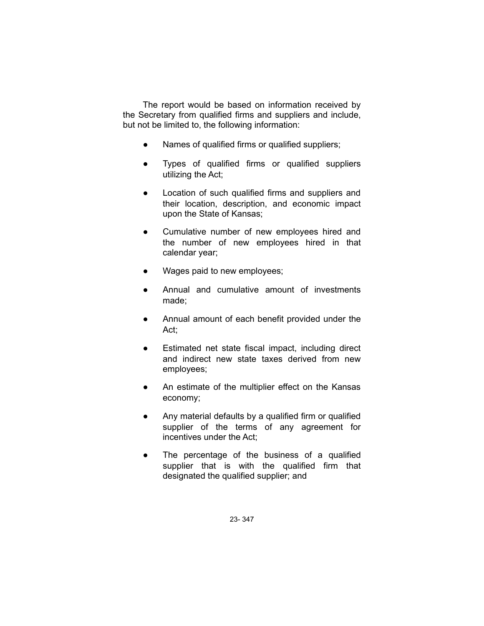The report would be based on information received by the Secretary from qualified firms and suppliers and include, but not be limited to, the following information:

- Names of qualified firms or qualified suppliers;
- Types of qualified firms or qualified suppliers utilizing the Act;
- Location of such qualified firms and suppliers and their location, description, and economic impact upon the State of Kansas;
- Cumulative number of new employees hired and the number of new employees hired in that calendar year;
- Wages paid to new employees;
- Annual and cumulative amount of investments made;
- Annual amount of each benefit provided under the Act;
- Estimated net state fiscal impact, including direct and indirect new state taxes derived from new employees;
- An estimate of the multiplier effect on the Kansas economy;
- Any material defaults by a qualified firm or qualified supplier of the terms of any agreement for incentives under the Act;
- The percentage of the business of a qualified supplier that is with the qualified firm that designated the qualified supplier; and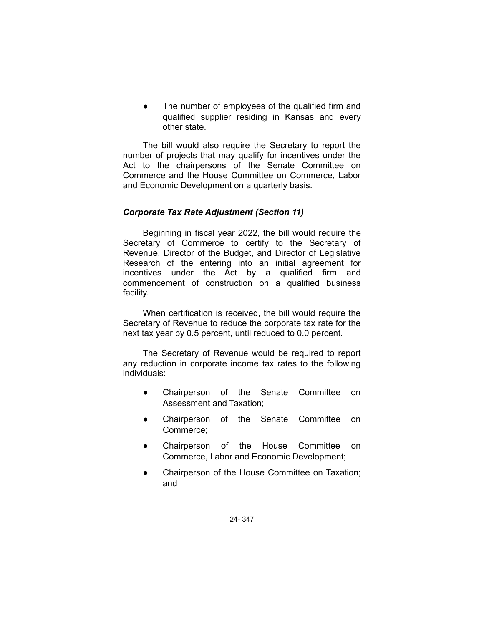The number of employees of the qualified firm and qualified supplier residing in Kansas and every other state.

The bill would also require the Secretary to report the number of projects that may qualify for incentives under the Act to the chairpersons of the Senate Committee on Commerce and the House Committee on Commerce, Labor and Economic Development on a quarterly basis.

## *Corporate Tax Rate Adjustment (Section 11)*

Beginning in fiscal year 2022, the bill would require the Secretary of Commerce to certify to the Secretary of Revenue, Director of the Budget, and Director of Legislative Research of the entering into an initial agreement for incentives under the Act by a qualified firm and commencement of construction on a qualified business facility.

When certification is received, the bill would require the Secretary of Revenue to reduce the corporate tax rate for the next tax year by 0.5 percent, until reduced to 0.0 percent.

The Secretary of Revenue would be required to report any reduction in corporate income tax rates to the following individuals:

- Chairperson of the Senate Committee on Assessment and Taxation;
- Chairperson of the Senate Committee on Commerce;
- Chairperson of the House Committee on Commerce, Labor and Economic Development;
- Chairperson of the House Committee on Taxation; and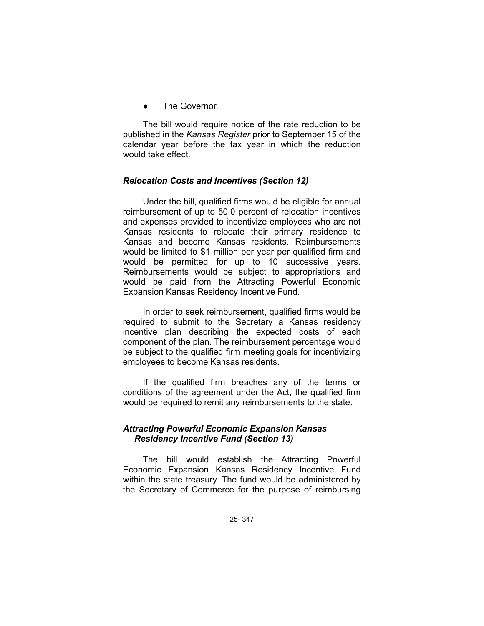The Governor.

The bill would require notice of the rate reduction to be published in the *Kansas Register* prior to September 15 of the calendar year before the tax year in which the reduction would take effect.

### *Relocation Costs and Incentives (Section 12)*

Under the bill, qualified firms would be eligible for annual reimbursement of up to 50.0 percent of relocation incentives and expenses provided to incentivize employees who are not Kansas residents to relocate their primary residence to Kansas and become Kansas residents. Reimbursements would be limited to \$1 million per year per qualified firm and would be permitted for up to 10 successive years. Reimbursements would be subject to appropriations and would be paid from the Attracting Powerful Economic Expansion Kansas Residency Incentive Fund.

In order to seek reimbursement, qualified firms would be required to submit to the Secretary a Kansas residency incentive plan describing the expected costs of each component of the plan. The reimbursement percentage would be subject to the qualified firm meeting goals for incentivizing employees to become Kansas residents.

If the qualified firm breaches any of the terms or conditions of the agreement under the Act, the qualified firm would be required to remit any reimbursements to the state.

### *Attracting Powerful Economic Expansion Kansas Residency Incentive Fund (Section 13)*

The bill would establish the Attracting Powerful Economic Expansion Kansas Residency Incentive Fund within the state treasury. The fund would be administered by the Secretary of Commerce for the purpose of reimbursing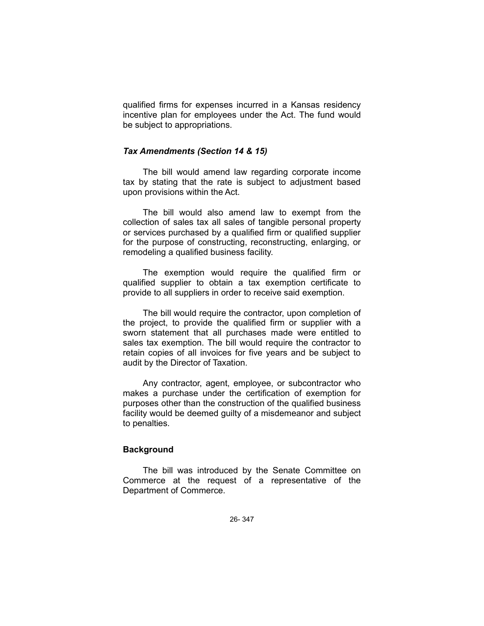qualified firms for expenses incurred in a Kansas residency incentive plan for employees under the Act. The fund would be subject to appropriations.

#### *Tax Amendments (Section 14 & 15)*

The bill would amend law regarding corporate income tax by stating that the rate is subject to adjustment based upon provisions within the Act.

The bill would also amend law to exempt from the collection of sales tax all sales of tangible personal property or services purchased by a qualified firm or qualified supplier for the purpose of constructing, reconstructing, enlarging, or remodeling a qualified business facility.

The exemption would require the qualified firm or qualified supplier to obtain a tax exemption certificate to provide to all suppliers in order to receive said exemption.

The bill would require the contractor, upon completion of the project, to provide the qualified firm or supplier with a sworn statement that all purchases made were entitled to sales tax exemption. The bill would require the contractor to retain copies of all invoices for five years and be subject to audit by the Director of Taxation.

Any contractor, agent, employee, or subcontractor who makes a purchase under the certification of exemption for purposes other than the construction of the qualified business facility would be deemed guilty of a misdemeanor and subject to penalties.

#### **Background**

The bill was introduced by the Senate Committee on Commerce at the request of a representative of the Department of Commerce.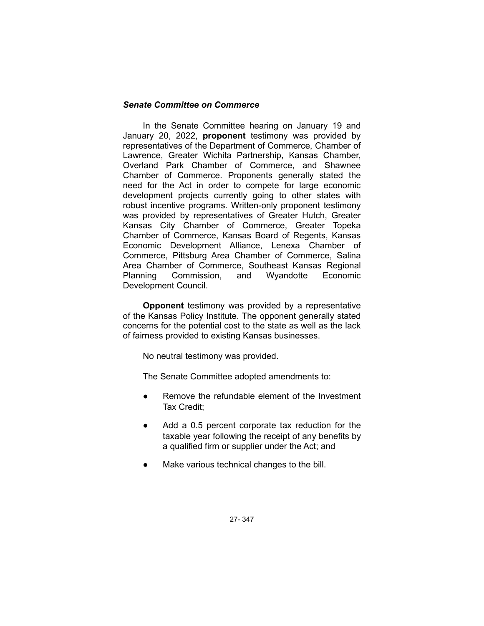## *Senate Committee on Commerce*

In the Senate Committee hearing on January 19 and January 20, 2022, **proponent** testimony was provided by representatives of the Department of Commerce, Chamber of Lawrence, Greater Wichita Partnership, Kansas Chamber, Overland Park Chamber of Commerce, and Shawnee Chamber of Commerce. Proponents generally stated the need for the Act in order to compete for large economic development projects currently going to other states with robust incentive programs. Written-only proponent testimony was provided by representatives of Greater Hutch, Greater Kansas City Chamber of Commerce, Greater Topeka Chamber of Commerce, Kansas Board of Regents, Kansas Economic Development Alliance, Lenexa Chamber of Commerce, Pittsburg Area Chamber of Commerce, Salina Area Chamber of Commerce, Southeast Kansas Regional Planning Commission, and Wyandotte Economic Development Council.

**Opponent** testimony was provided by a representative of the Kansas Policy Institute. The opponent generally stated concerns for the potential cost to the state as well as the lack of fairness provided to existing Kansas businesses.

No neutral testimony was provided.

The Senate Committee adopted amendments to:

- Remove the refundable element of the Investment Tax Credit;
- Add a 0.5 percent corporate tax reduction for the taxable year following the receipt of any benefits by a qualified firm or supplier under the Act; and
- Make various technical changes to the bill.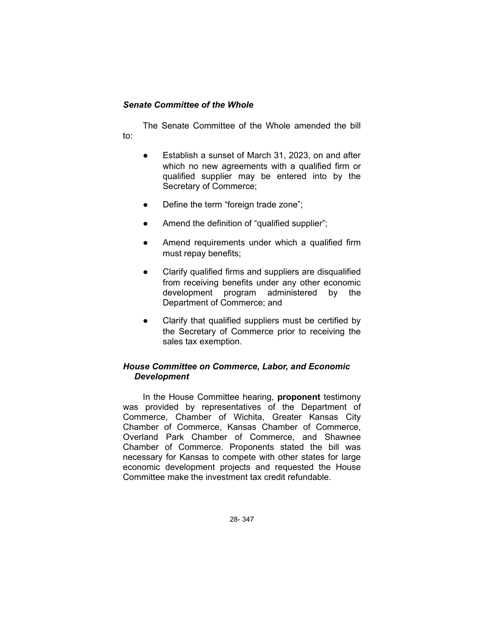## *Senate Committee of the Whole*

The Senate Committee of the Whole amended the bill to:

- Establish a sunset of March 31, 2023, on and after which no new agreements with a qualified firm or qualified supplier may be entered into by the Secretary of Commerce;
- Define the term "foreign trade zone";
- Amend the definition of "qualified supplier";
- Amend requirements under which a qualified firm must repay benefits;
- Clarify qualified firms and suppliers are disqualified from receiving benefits under any other economic development program administered by the Department of Commerce; and
- Clarify that qualified suppliers must be certified by the Secretary of Commerce prior to receiving the sales tax exemption.

# *House Committee on Commerce, Labor, and Economic Development*

In the House Committee hearing, **proponent** testimony was provided by representatives of the Department of Commerce, Chamber of Wichita, Greater Kansas City Chamber of Commerce, Kansas Chamber of Commerce, Overland Park Chamber of Commerce, and Shawnee Chamber of Commerce. Proponents stated the bill was necessary for Kansas to compete with other states for large economic development projects and requested the House Committee make the investment tax credit refundable.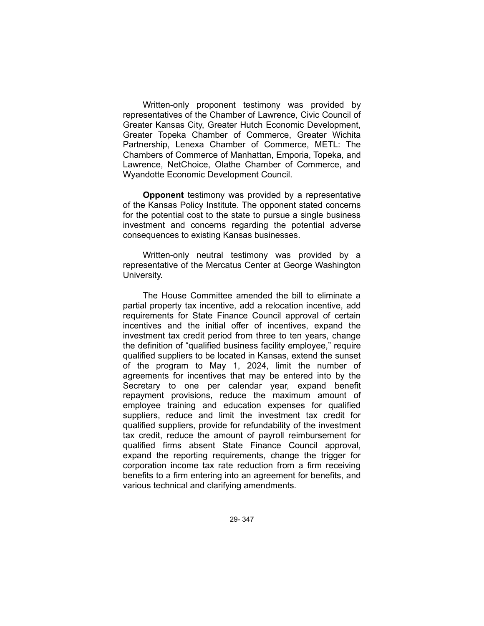Written-only proponent testimony was provided by representatives of the Chamber of Lawrence, Civic Council of Greater Kansas City, Greater Hutch Economic Development, Greater Topeka Chamber of Commerce, Greater Wichita Partnership, Lenexa Chamber of Commerce, METL: The Chambers of Commerce of Manhattan, Emporia, Topeka, and Lawrence, NetChoice, Olathe Chamber of Commerce, and Wyandotte Economic Development Council.

**Opponent** testimony was provided by a representative of the Kansas Policy Institute. The opponent stated concerns for the potential cost to the state to pursue a single business investment and concerns regarding the potential adverse consequences to existing Kansas businesses.

Written-only neutral testimony was provided by a representative of the Mercatus Center at George Washington University.

The House Committee amended the bill to eliminate a partial property tax incentive, add a relocation incentive, add requirements for State Finance Council approval of certain incentives and the initial offer of incentives, expand the investment tax credit period from three to ten years, change the definition of "qualified business facility employee," require qualified suppliers to be located in Kansas, extend the sunset of the program to May 1, 2024, limit the number of agreements for incentives that may be entered into by the Secretary to one per calendar year, expand benefit repayment provisions, reduce the maximum amount of employee training and education expenses for qualified suppliers, reduce and limit the investment tax credit for qualified suppliers, provide for refundability of the investment tax credit, reduce the amount of payroll reimbursement for qualified firms absent State Finance Council approval, expand the reporting requirements, change the trigger for corporation income tax rate reduction from a firm receiving benefits to a firm entering into an agreement for benefits, and various technical and clarifying amendments.